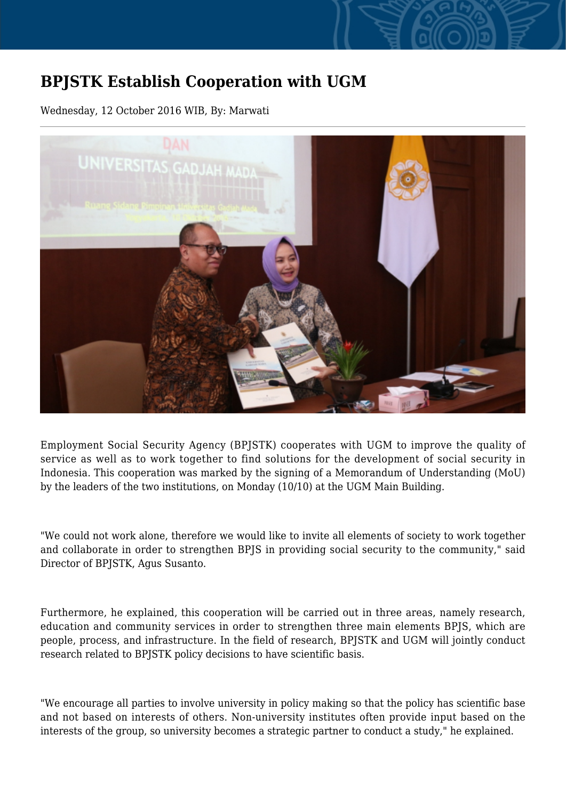## **BPJSTK Establish Cooperation with UGM**

Wednesday, 12 October 2016 WIB, By: Marwati



Employment Social Security Agency (BPJSTK) cooperates with UGM to improve the quality of service as well as to work together to find solutions for the development of social security in Indonesia. This cooperation was marked by the signing of a Memorandum of Understanding (MoU) by the leaders of the two institutions, on Monday (10/10) at the UGM Main Building.

"We could not work alone, therefore we would like to invite all elements of society to work together and collaborate in order to strengthen BPJS in providing social security to the community," said Director of BPJSTK, Agus Susanto.

Furthermore, he explained, this cooperation will be carried out in three areas, namely research, education and community services in order to strengthen three main elements BPJS, which are people, process, and infrastructure. In the field of research, BPJSTK and UGM will jointly conduct research related to BPJSTK policy decisions to have scientific basis.

"We encourage all parties to involve university in policy making so that the policy has scientific base and not based on interests of others. Non-university institutes often provide input based on the interests of the group, so university becomes a strategic partner to conduct a study," he explained.